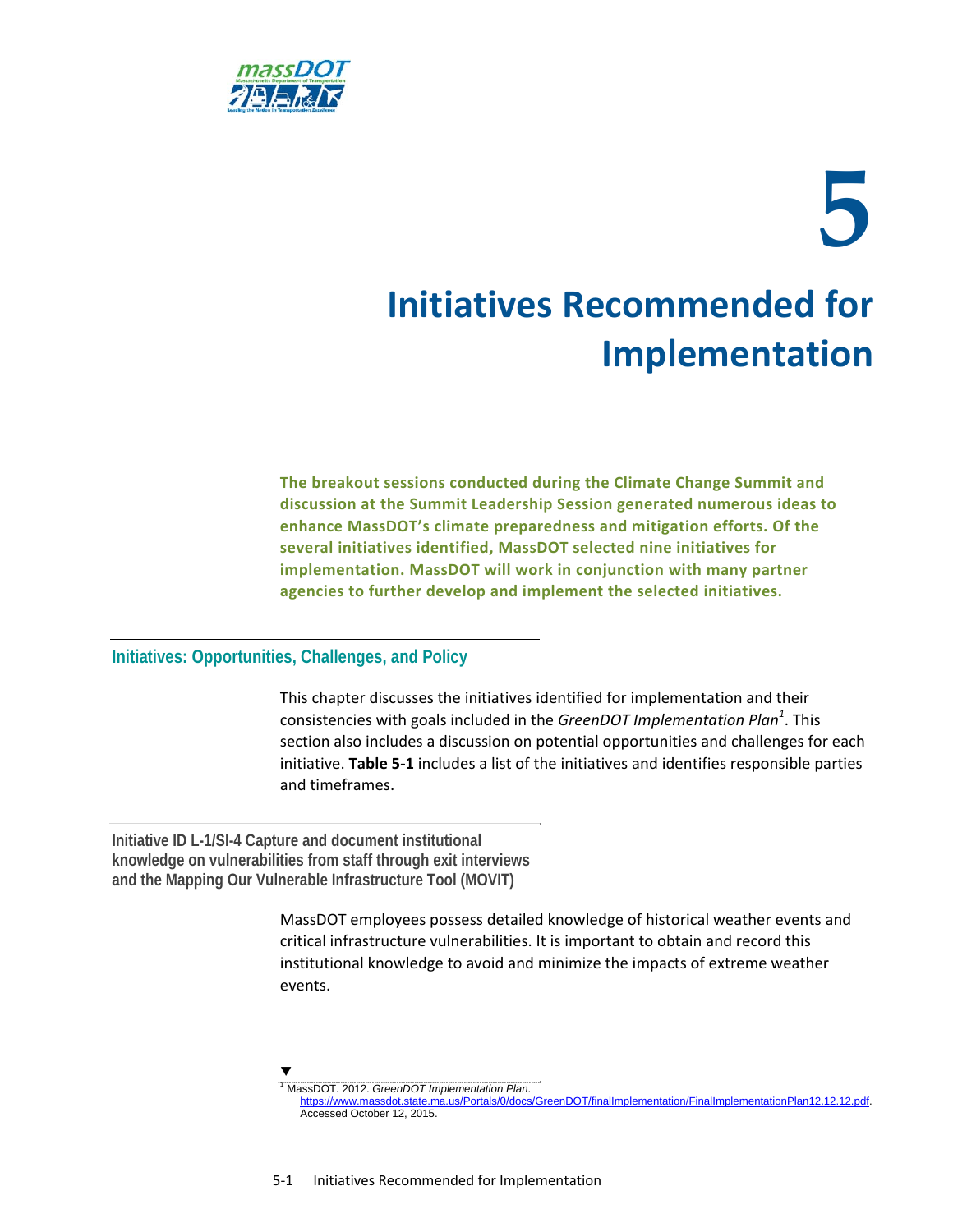

# **5 Initiatives Recommended for Implementation**

**The breakout sessions conducted during the Climate Change Summit and discussion at the Summit Leadership Session generated numerous ideas to enhance MassDOT's climate preparedness and mitigation efforts. Of the several initiatives identified, MassDOT selected nine initiatives for implementation. MassDOT will work in conjunction with many partner agencies to further develop and implement the selected initiatives.** 

#### **Initiatives: Opportunities, Challenges, and Policy**

This chapter discusses the initiatives identified for implementation and their consistencies with goals included in the *GreenDOT Implementation Plan<sup>1</sup>* . This section also includes a discussion on potential opportunities and challenges for each initiative. **Table 5‐1** includes a list of the initiatives and identifies responsible parties and timeframes.

**Initiative ID L-1/SI-4 Capture and document institutional knowledge on vulnerabilities from staff through exit interviews and the Mapping Our Vulnerable Infrastructure Tool (MOVIT)** 

 $\blacktriangledown$ 

MassDOT employees possess detailed knowledge of historical weather events and critical infrastructure vulnerabilities. It is important to obtain and record this institutional knowledge to avoid and minimize the impacts of extreme weather events.

1 MassDOT. 2012. *GreenDOT Implementation Plan*.

https://www.massdot.state.ma.us/Portals/0/docs/GreenDOT/finalImplementation/FinalImplementationPlan12.12.12.pdf. Accessed October 12, 2015.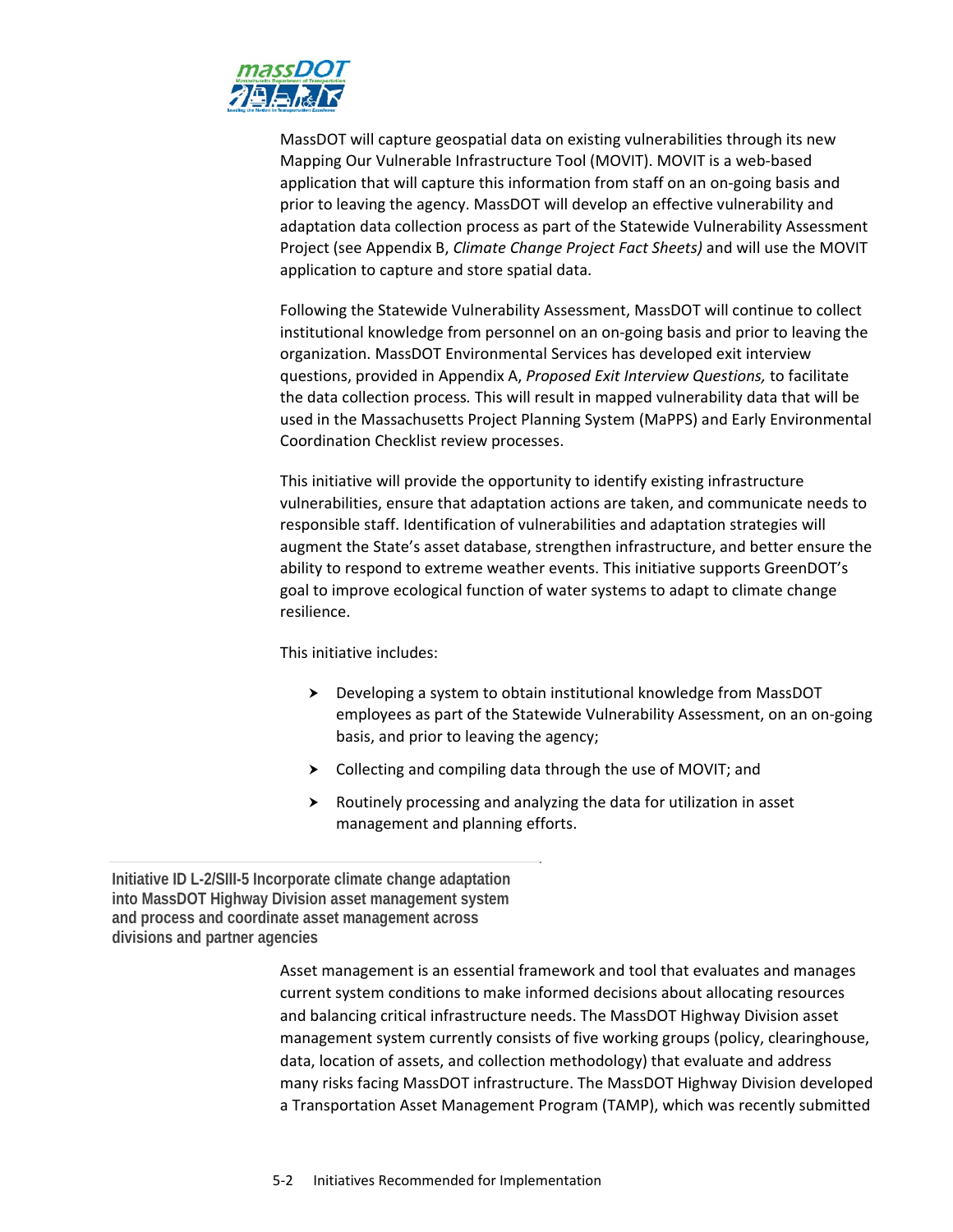

MassDOT will capture geospatial data on existing vulnerabilities through its new Mapping Our Vulnerable Infrastructure Tool (MOVIT). MOVIT is a web‐based application that will capture this information from staff on an on‐going basis and prior to leaving the agency. MassDOT will develop an effective vulnerability and adaptation data collection process as part of the Statewide Vulnerability Assessment Project (see Appendix B, *Climate Change Project Fact Sheets)* and will use the MOVIT application to capture and store spatial data.

Following the Statewide Vulnerability Assessment, MassDOT will continue to collect institutional knowledge from personnel on an on‐going basis and prior to leaving the organization. MassDOT Environmental Services has developed exit interview questions, provided in Appendix A, *Proposed Exit Interview Questions,* to facilitate the data collection process*.* This will result in mapped vulnerability data that will be used in the Massachusetts Project Planning System (MaPPS) and Early Environmental Coordination Checklist review processes.

This initiative will provide the opportunity to identify existing infrastructure vulnerabilities, ensure that adaptation actions are taken, and communicate needs to responsible staff. Identification of vulnerabilities and adaptation strategies will augment the State's asset database, strengthen infrastructure, and better ensure the ability to respond to extreme weather events. This initiative supports GreenDOT's goal to improve ecological function of water systems to adapt to climate change resilience.

This initiative includes:

- Developing a system to obtain institutional knowledge from MassDOT employees as part of the Statewide Vulnerability Assessment, on an on‐going basis, and prior to leaving the agency;
- Collecting and compiling data through the use of MOVIT; and
- $\blacktriangleright$  Routinely processing and analyzing the data for utilization in asset management and planning efforts.

**Initiative ID L-2/SIII-5 Incorporate climate change adaptation into MassDOT Highway Division asset management system and process and coordinate asset management across divisions and partner agencies** 

> Asset management is an essential framework and tool that evaluates and manages current system conditions to make informed decisions about allocating resources and balancing critical infrastructure needs. The MassDOT Highway Division asset management system currently consists of five working groups (policy, clearinghouse, data, location of assets, and collection methodology) that evaluate and address many risks facing MassDOT infrastructure. The MassDOT Highway Division developed a Transportation Asset Management Program (TAMP), which was recently submitted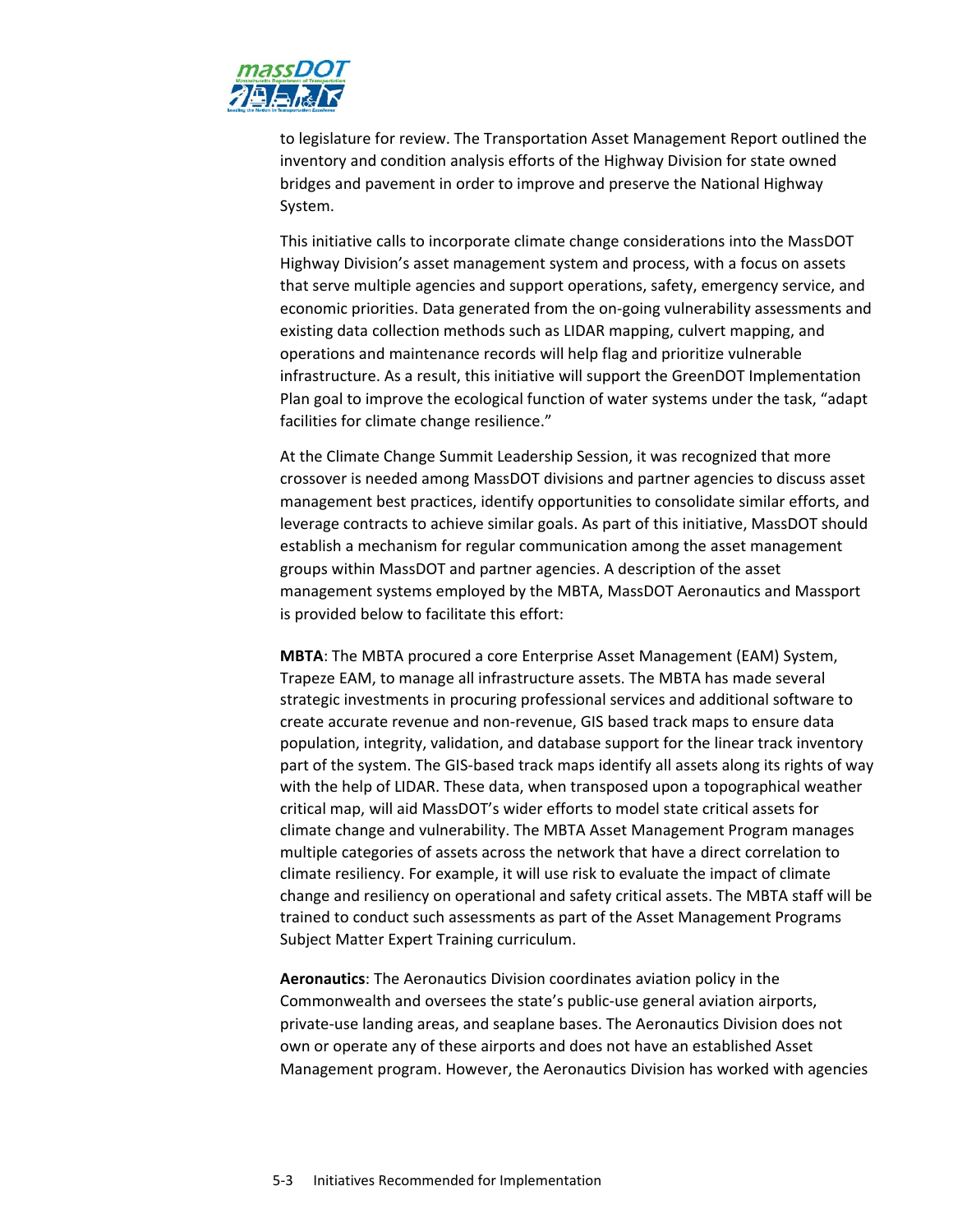

to legislature for review. The Transportation Asset Management Report outlined the inventory and condition analysis efforts of the Highway Division for state owned bridges and pavement in order to improve and preserve the National Highway System.

This initiative calls to incorporate climate change considerations into the MassDOT Highway Division's asset management system and process, with a focus on assets that serve multiple agencies and support operations, safety, emergency service, and economic priorities. Data generated from the on‐going vulnerability assessments and existing data collection methods such as LIDAR mapping, culvert mapping, and operations and maintenance records will help flag and prioritize vulnerable infrastructure. As a result, this initiative will support the GreenDOT Implementation Plan goal to improve the ecological function of water systems under the task, "adapt facilities for climate change resilience."

At the Climate Change Summit Leadership Session, it was recognized that more crossover is needed among MassDOT divisions and partner agencies to discuss asset management best practices, identify opportunities to consolidate similar efforts, and leverage contracts to achieve similar goals. As part of this initiative, MassDOT should establish a mechanism for regular communication among the asset management groups within MassDOT and partner agencies. A description of the asset management systems employed by the MBTA, MassDOT Aeronautics and Massport is provided below to facilitate this effort:

**MBTA**: The MBTA procured a core Enterprise Asset Management (EAM) System, Trapeze EAM, to manage all infrastructure assets. The MBTA has made several strategic investments in procuring professional services and additional software to create accurate revenue and non‐revenue, GIS based track maps to ensure data population, integrity, validation, and database support for the linear track inventory part of the system. The GIS-based track maps identify all assets along its rights of way with the help of LIDAR. These data, when transposed upon a topographical weather critical map, will aid MassDOT's wider efforts to model state critical assets for climate change and vulnerability. The MBTA Asset Management Program manages multiple categories of assets across the network that have a direct correlation to climate resiliency. For example, it will use risk to evaluate the impact of climate change and resiliency on operational and safety critical assets. The MBTA staff will be trained to conduct such assessments as part of the Asset Management Programs Subject Matter Expert Training curriculum.

**Aeronautics**: The Aeronautics Division coordinates aviation policy in the Commonwealth and oversees the state's public‐use general aviation airports, private‐use landing areas, and seaplane bases. The Aeronautics Division does not own or operate any of these airports and does not have an established Asset Management program. However, the Aeronautics Division has worked with agencies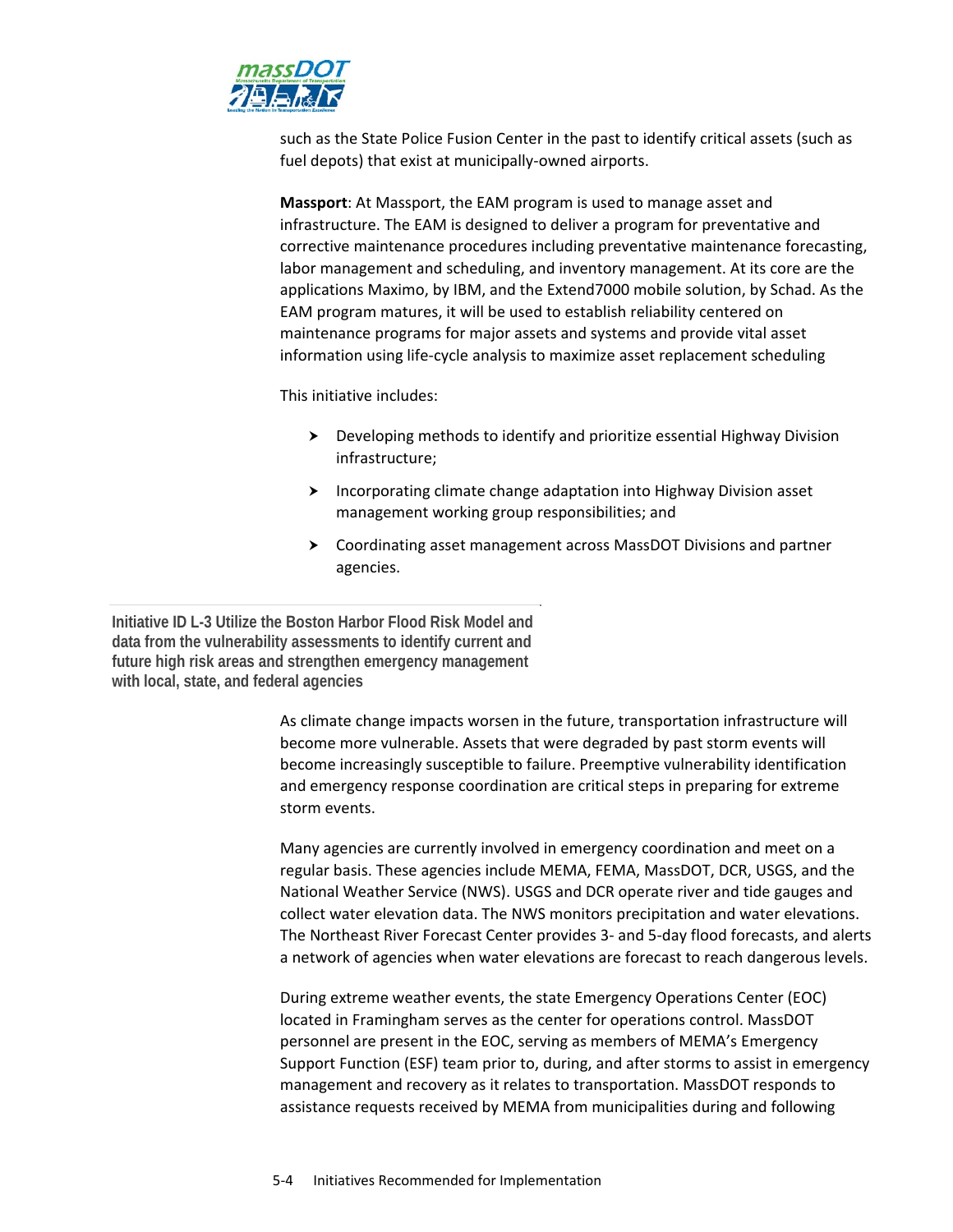

such as the State Police Fusion Center in the past to identify critical assets (such as fuel depots) that exist at municipally‐owned airports.

**Massport**: At Massport, the EAM program is used to manage asset and infrastructure. The EAM is designed to deliver a program for preventative and corrective maintenance procedures including preventative maintenance forecasting, labor management and scheduling, and inventory management. At its core are the applications Maximo, by IBM, and the Extend7000 mobile solution, by Schad. As the EAM program matures, it will be used to establish reliability centered on maintenance programs for major assets and systems and provide vital asset information using life‐cycle analysis to maximize asset replacement scheduling

This initiative includes:

- Developing methods to identify and prioritize essential Highway Division infrastructure;
- > Incorporating climate change adaptation into Highway Division asset management working group responsibilities; and
- Coordinating asset management across MassDOT Divisions and partner agencies.

**Initiative ID L-3 Utilize the Boston Harbor Flood Risk Model and data from the vulnerability assessments to identify current and future high risk areas and strengthen emergency management with local, state, and federal agencies** 

> As climate change impacts worsen in the future, transportation infrastructure will become more vulnerable. Assets that were degraded by past storm events will become increasingly susceptible to failure. Preemptive vulnerability identification and emergency response coordination are critical steps in preparing for extreme storm events.

Many agencies are currently involved in emergency coordination and meet on a regular basis. These agencies include MEMA, FEMA, MassDOT, DCR, USGS, and the National Weather Service (NWS). USGS and DCR operate river and tide gauges and collect water elevation data. The NWS monitors precipitation and water elevations. The Northeast River Forecast Center provides 3‐ and 5‐day flood forecasts, and alerts a network of agencies when water elevations are forecast to reach dangerous levels.

During extreme weather events, the state Emergency Operations Center (EOC) located in Framingham serves as the center for operations control. MassDOT personnel are present in the EOC, serving as members of MEMA's Emergency Support Function (ESF) team prior to, during, and after storms to assist in emergency management and recovery as it relates to transportation. MassDOT responds to assistance requests received by MEMA from municipalities during and following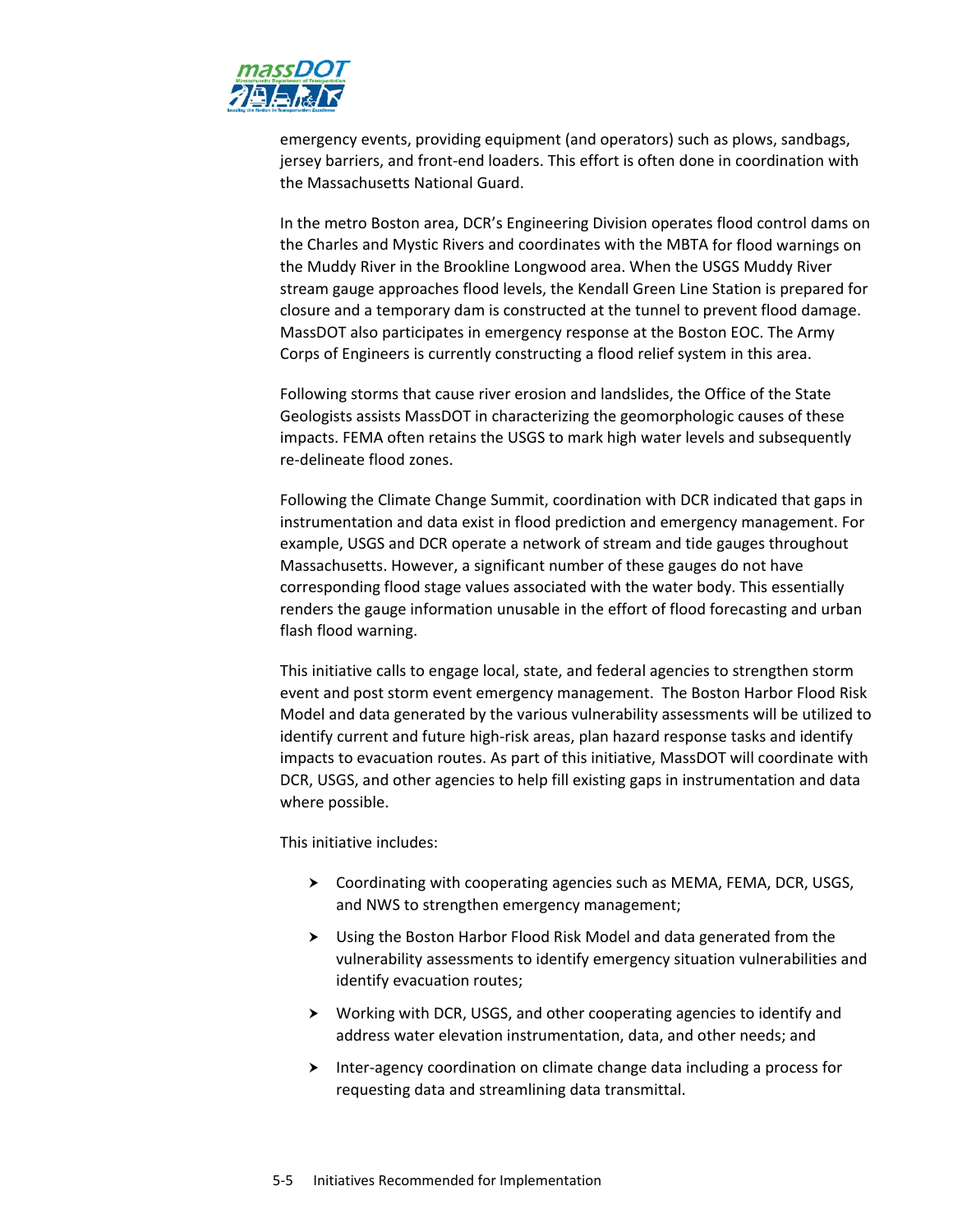

emergency events, providing equipment (and operators) such as plows, sandbags, jersey barriers, and front‐end loaders. This effort is often done in coordination with the Massachusetts National Guard.

In the metro Boston area, DCR's Engineering Division operates flood control dams on the Charles and Mystic Rivers and coordinates with the MBTA for flood warnings on the Muddy River in the Brookline Longwood area. When the USGS Muddy River stream gauge approaches flood levels, the Kendall Green Line Station is prepared for closure and a temporary dam is constructed at the tunnel to prevent flood damage. MassDOT also participates in emergency response at the Boston EOC. The Army Corps of Engineers is currently constructing a flood relief system in this area.

Following storms that cause river erosion and landslides, the Office of the State Geologists assists MassDOT in characterizing the geomorphologic causes of these impacts. FEMA often retains the USGS to mark high water levels and subsequently re‐delineate flood zones.

Following the Climate Change Summit, coordination with DCR indicated that gaps in instrumentation and data exist in flood prediction and emergency management. For example, USGS and DCR operate a network of stream and tide gauges throughout Massachusetts. However, a significant number of these gauges do not have corresponding flood stage values associated with the water body. This essentially renders the gauge information unusable in the effort of flood forecasting and urban flash flood warning.

This initiative calls to engage local, state, and federal agencies to strengthen storm event and post storm event emergency management. The Boston Harbor Flood Risk Model and data generated by the various vulnerability assessments will be utilized to identify current and future high-risk areas, plan hazard response tasks and identify impacts to evacuation routes. As part of this initiative, MassDOT will coordinate with DCR, USGS, and other agencies to help fill existing gaps in instrumentation and data where possible.

This initiative includes:

- ▶ Coordinating with cooperating agencies such as MEMA, FEMA, DCR, USGS, and NWS to strengthen emergency management;
- Using the Boston Harbor Flood Risk Model and data generated from the vulnerability assessments to identify emergency situation vulnerabilities and identify evacuation routes;
- Working with DCR, USGS, and other cooperating agencies to identify and address water elevation instrumentation, data, and other needs; and
- ▶ Inter-agency coordination on climate change data including a process for requesting data and streamlining data transmittal.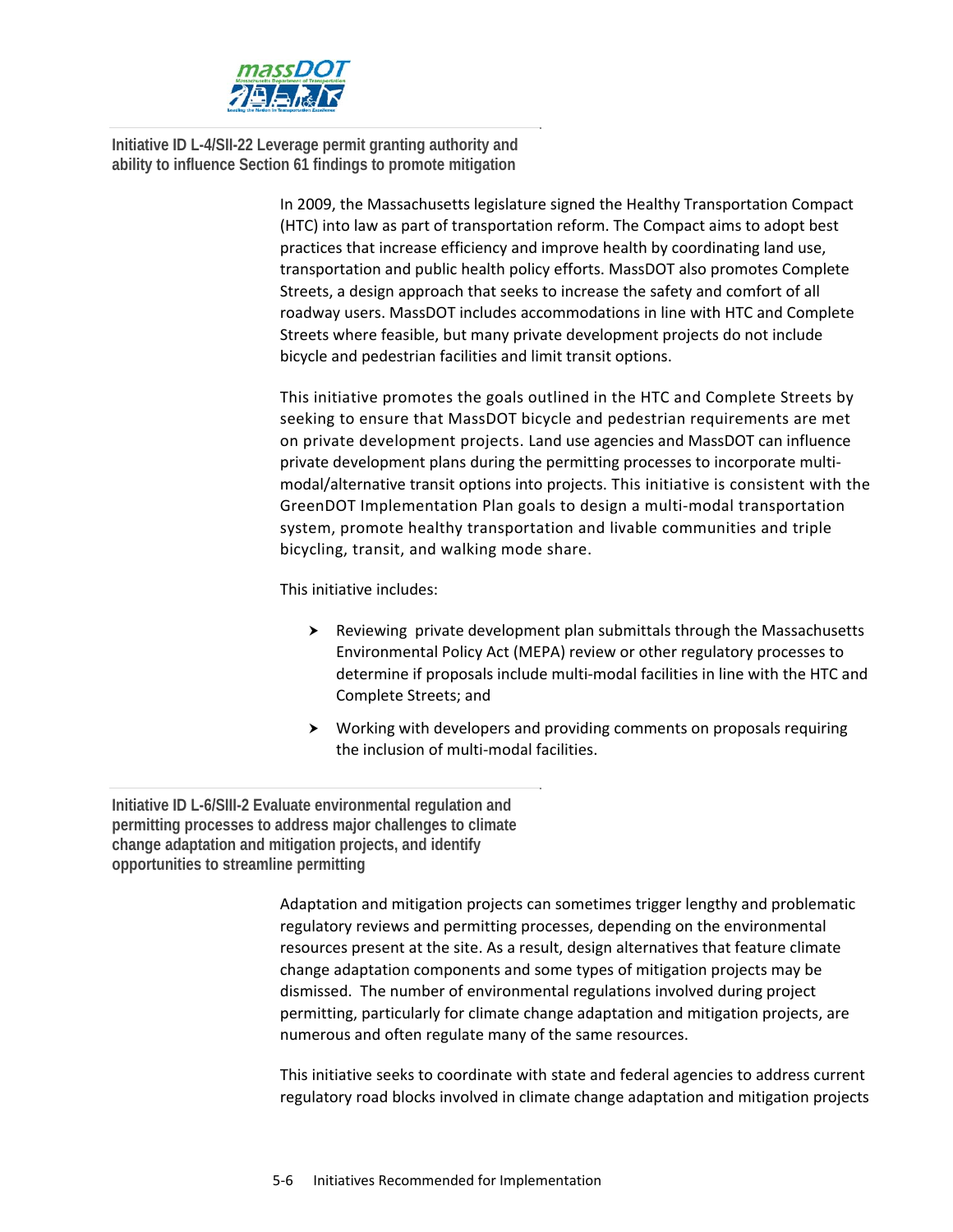

**Initiative ID L-4/SII-22 Leverage permit granting authority and ability to influence Section 61 findings to promote mitigation** 

> In 2009, the Massachusetts legislature signed the Healthy Transportation Compact (HTC) into law as part of transportation reform. The Compact aims to adopt best practices that increase efficiency and improve health by coordinating land use, transportation and public health policy efforts. MassDOT also promotes Complete Streets, a design approach that seeks to increase the safety and comfort of all roadway users. MassDOT includes accommodations in line with HTC and Complete Streets where feasible, but many private development projects do not include bicycle and pedestrian facilities and limit transit options.

This initiative promotes the goals outlined in the HTC and Complete Streets by seeking to ensure that MassDOT bicycle and pedestrian requirements are met on private development projects. Land use agencies and MassDOT can influence private development plans during the permitting processes to incorporate multimodal/alternative transit options into projects. This initiative is consistent with the GreenDOT Implementation Plan goals to design a multi‐modal transportation system, promote healthy transportation and livable communities and triple bicycling, transit, and walking mode share.

This initiative includes:

- $\triangleright$  Reviewing private development plan submittals through the Massachusetts Environmental Policy Act (MEPA) review or other regulatory processes to determine if proposals include multi‐modal facilities in line with the HTC and Complete Streets; and
- Working with developers and providing comments on proposals requiring the inclusion of multi‐modal facilities.

**Initiative ID L-6/SIII-2 Evaluate environmental regulation and permitting processes to address major challenges to climate change adaptation and mitigation projects, and identify opportunities to streamline permitting** 

> Adaptation and mitigation projects can sometimes trigger lengthy and problematic regulatory reviews and permitting processes, depending on the environmental resources present at the site. As a result, design alternatives that feature climate change adaptation components and some types of mitigation projects may be dismissed. The number of environmental regulations involved during project permitting, particularly for climate change adaptation and mitigation projects, are numerous and often regulate many of the same resources.

This initiative seeks to coordinate with state and federal agencies to address current regulatory road blocks involved in climate change adaptation and mitigation projects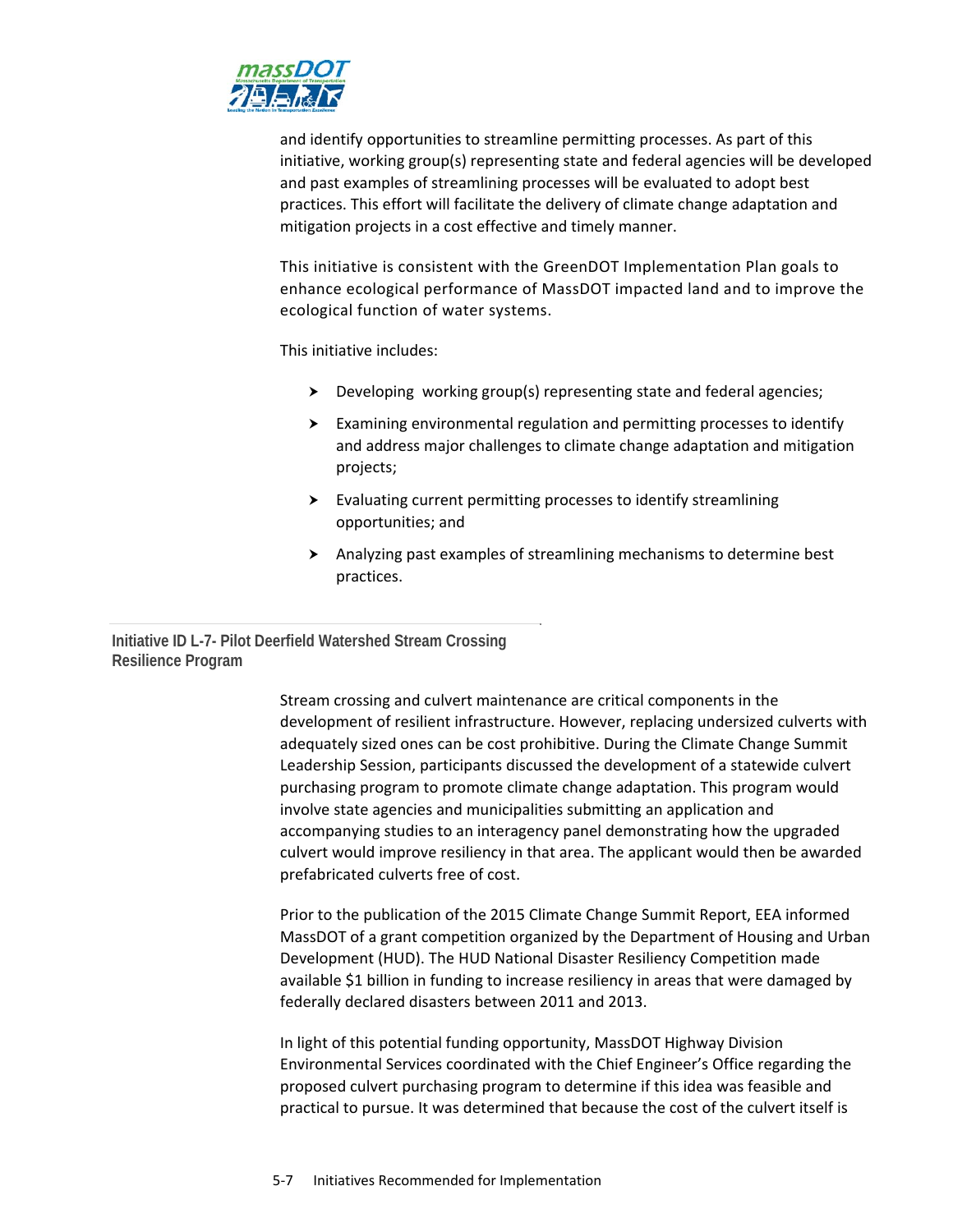

and identify opportunities to streamline permitting processes. As part of this initiative, working group(s) representing state and federal agencies will be developed and past examples of streamlining processes will be evaluated to adopt best practices. This effort will facilitate the delivery of climate change adaptation and mitigation projects in a cost effective and timely manner.

This initiative is consistent with the GreenDOT Implementation Plan goals to enhance ecological performance of MassDOT impacted land and to improve the ecological function of water systems.

This initiative includes:

- Developing working group(s) representing state and federal agencies;
- Examining environmental regulation and permitting processes to identify and address major challenges to climate change adaptation and mitigation projects;
- Evaluating current permitting processes to identify streamlining opportunities; and
- Analyzing past examples of streamlining mechanisms to determine best practices.

### **Initiative ID L-7- Pilot Deerfield Watershed Stream Crossing Resilience Program**

Stream crossing and culvert maintenance are critical components in the development of resilient infrastructure. However, replacing undersized culverts with adequately sized ones can be cost prohibitive. During the Climate Change Summit Leadership Session, participants discussed the development of a statewide culvert purchasing program to promote climate change adaptation. This program would involve state agencies and municipalities submitting an application and accompanying studies to an interagency panel demonstrating how the upgraded culvert would improve resiliency in that area. The applicant would then be awarded prefabricated culverts free of cost.

Prior to the publication of the 2015 Climate Change Summit Report, EEA informed MassDOT of a grant competition organized by the Department of Housing and Urban Development (HUD). The HUD National Disaster Resiliency Competition made available \$1 billion in funding to increase resiliency in areas that were damaged by federally declared disasters between 2011 and 2013.

In light of this potential funding opportunity, MassDOT Highway Division Environmental Services coordinated with the Chief Engineer's Office regarding the proposed culvert purchasing program to determine if this idea was feasible and practical to pursue. It was determined that because the cost of the culvert itself is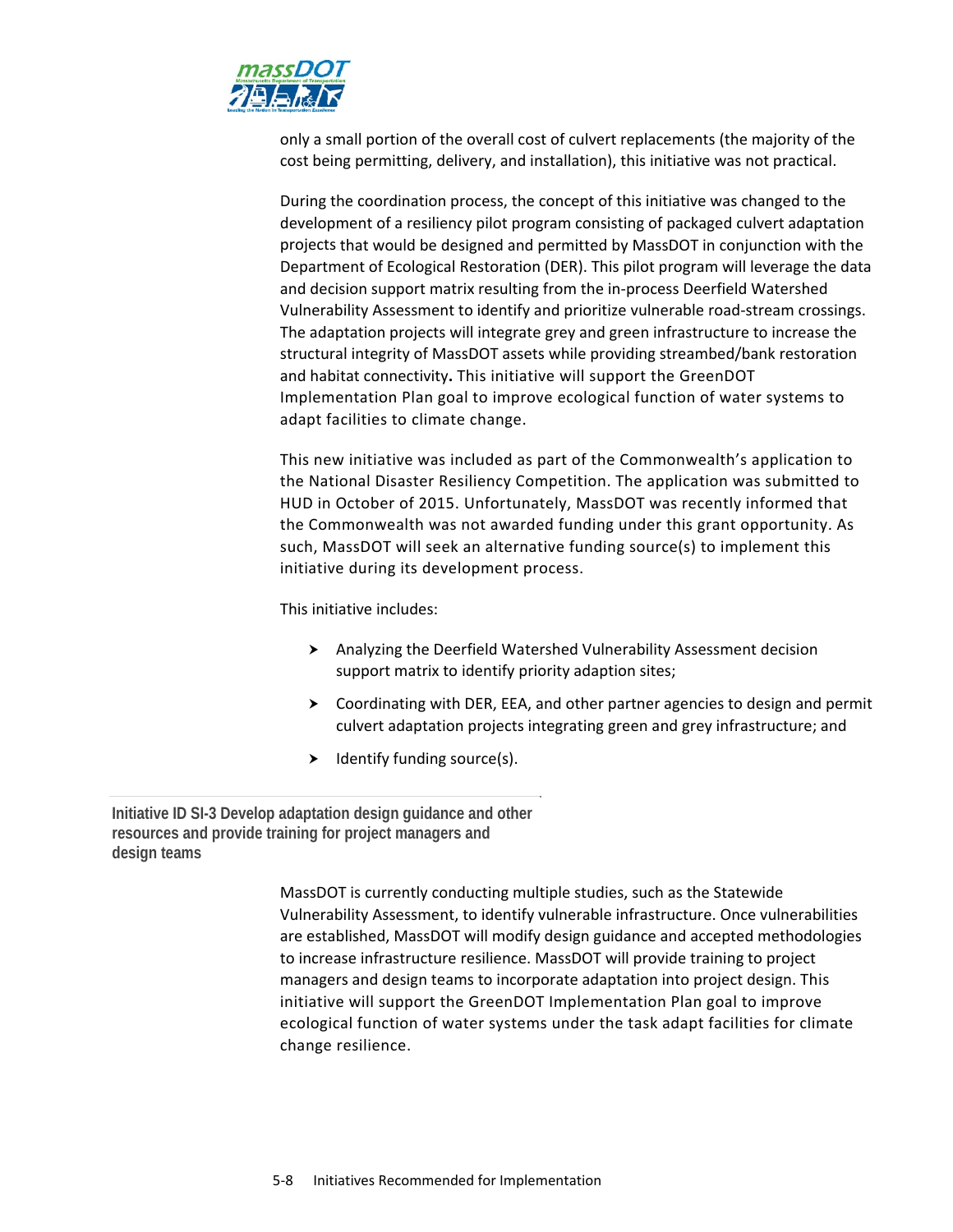

only a small portion of the overall cost of culvert replacements (the majority of the cost being permitting, delivery, and installation), this initiative was not practical.

During the coordination process, the concept of this initiative was changed to the development of a resiliency pilot program consisting of packaged culvert adaptation projects that would be designed and permitted by MassDOT in conjunction with the Department of Ecological Restoration (DER). This pilot program will leverage the data and decision support matrix resulting from the in‐process Deerfield Watershed Vulnerability Assessment to identify and prioritize vulnerable road‐stream crossings. The adaptation projects will integrate grey and green infrastructure to increase the structural integrity of MassDOT assets while providing streambed/bank restoration and habitat connectivity**.** This initiative will support the GreenDOT Implementation Plan goal to improve ecological function of water systems to adapt facilities to climate change.

This new initiative was included as part of the Commonwealth's application to the National Disaster Resiliency Competition. The application was submitted to HUD in October of 2015. Unfortunately, MassDOT was recently informed that the Commonwealth was not awarded funding under this grant opportunity. As such, MassDOT will seek an alternative funding source(s) to implement this initiative during its development process.

This initiative includes:

- Analyzing the Deerfield Watershed Vulnerability Assessment decision support matrix to identify priority adaption sites;
- $\triangleright$  Coordinating with DER, EEA, and other partner agencies to design and permit culvert adaptation projects integrating green and grey infrastructure; and
- $\blacktriangleright$  Identify funding source(s).

**Initiative ID SI-3 Develop adaptation design guidance and other resources and provide training for project managers and design teams** 

> MassDOT is currently conducting multiple studies, such as the Statewide Vulnerability Assessment, to identify vulnerable infrastructure. Once vulnerabilities are established, MassDOT will modify design guidance and accepted methodologies to increase infrastructure resilience. MassDOT will provide training to project managers and design teams to incorporate adaptation into project design. This initiative will support the GreenDOT Implementation Plan goal to improve ecological function of water systems under the task adapt facilities for climate change resilience.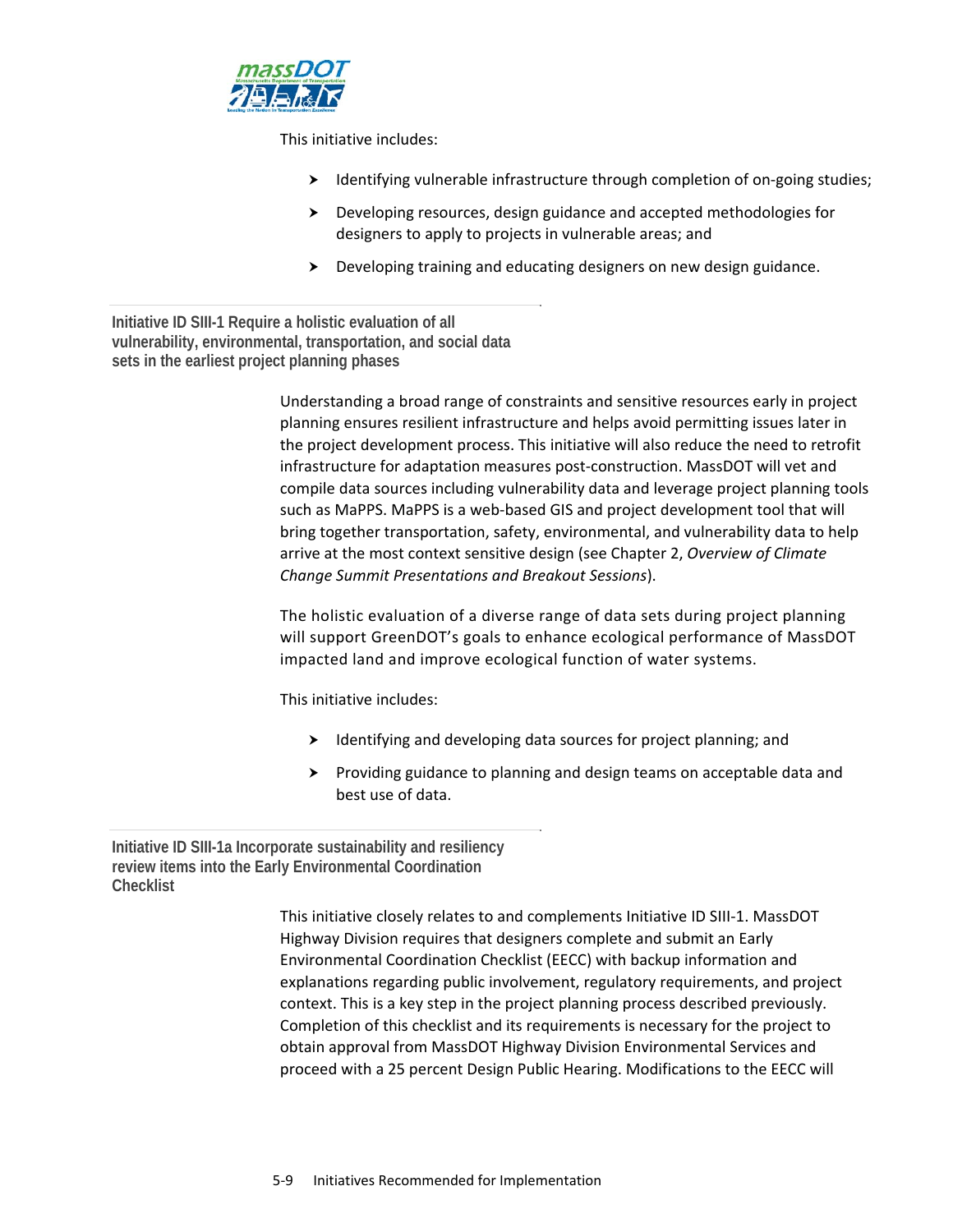

This initiative includes:

- ▶ Identifying vulnerable infrastructure through completion of on-going studies;
- Developing resources, design guidance and accepted methodologies for designers to apply to projects in vulnerable areas; and
- $\triangleright$  Developing training and educating designers on new design guidance.

**Initiative ID SIII-1 Require a holistic evaluation of all vulnerability, environmental, transportation, and social data sets in the earliest project planning phases** 

> Understanding a broad range of constraints and sensitive resources early in project planning ensures resilient infrastructure and helps avoid permitting issues later in the project development process. This initiative will also reduce the need to retrofit infrastructure for adaptation measures post-construction. MassDOT will vet and compile data sources including vulnerability data and leverage project planning tools such as MaPPS. MaPPS is a web‐based GIS and project development tool that will bring together transportation, safety, environmental, and vulnerability data to help arrive at the most context sensitive design (see Chapter 2, *Overview of Climate Change Summit Presentations and Breakout Sessions*).

The holistic evaluation of a diverse range of data sets during project planning will support GreenDOT's goals to enhance ecological performance of MassDOT impacted land and improve ecological function of water systems.

This initiative includes:

- $\blacktriangleright$  Identifying and developing data sources for project planning; and
- $\triangleright$  Providing guidance to planning and design teams on acceptable data and best use of data.

**Initiative ID SIII-1a Incorporate sustainability and resiliency review items into the Early Environmental Coordination Checklist** 

> This initiative closely relates to and complements Initiative ID SIII‐1. MassDOT Highway Division requires that designers complete and submit an Early Environmental Coordination Checklist (EECC) with backup information and explanations regarding public involvement, regulatory requirements, and project context. This is a key step in the project planning process described previously. Completion of this checklist and its requirements is necessary for the project to obtain approval from MassDOT Highway Division Environmental Services and proceed with a 25 percent Design Public Hearing. Modifications to the EECC will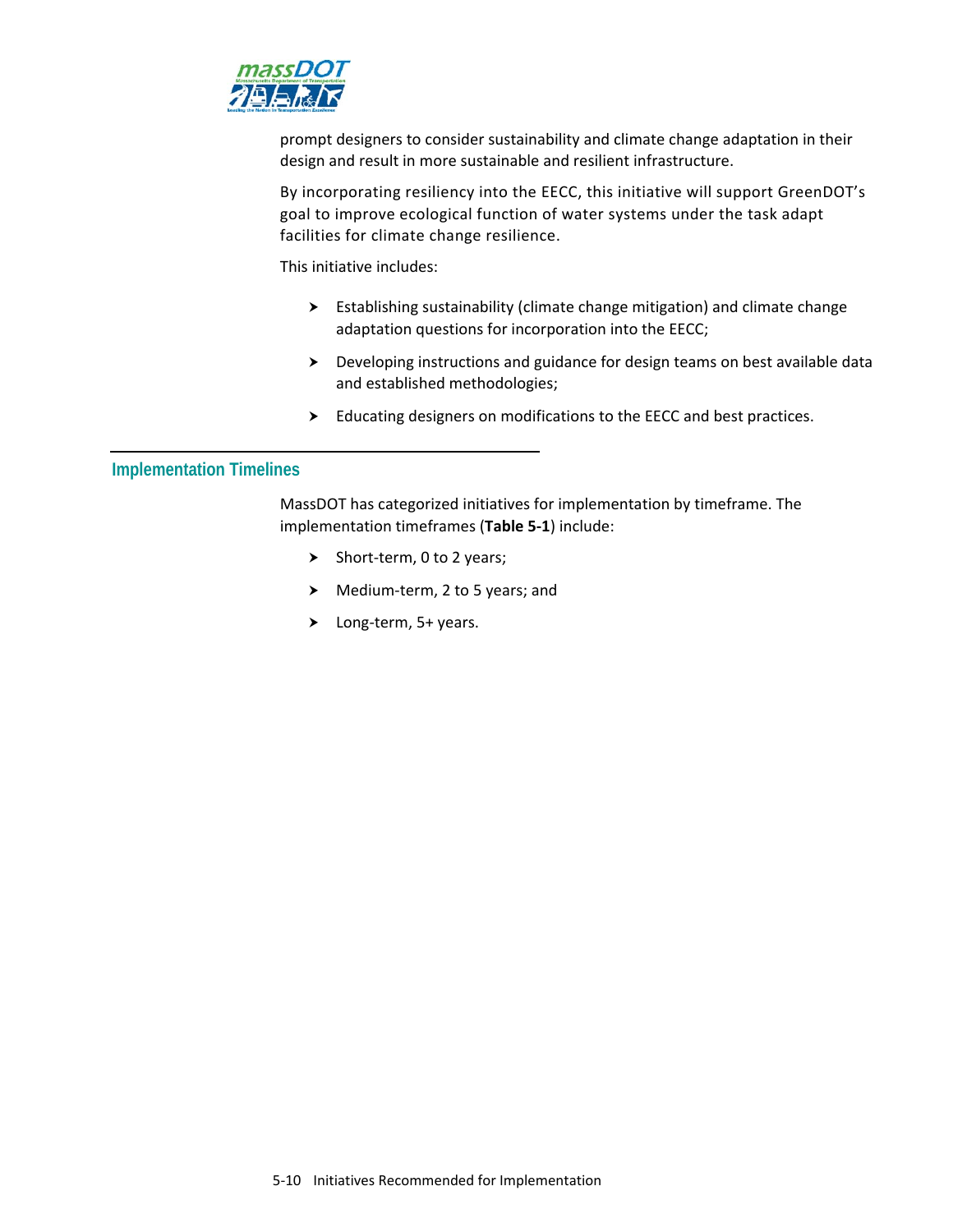

prompt designers to consider sustainability and climate change adaptation in their design and result in more sustainable and resilient infrastructure.

By incorporating resiliency into the EECC, this initiative will support GreenDOT's goal to improve ecological function of water systems under the task adapt facilities for climate change resilience.

This initiative includes:

- Establishing sustainability (climate change mitigation) and climate change adaptation questions for incorporation into the EECC;
- Developing instructions and guidance for design teams on best available data and established methodologies;
- Educating designers on modifications to the EECC and best practices.

#### **Implementation Timelines**

MassDOT has categorized initiatives for implementation by timeframe. The implementation timeframes (**Table 5‐1**) include:

- Short-term,  $0$  to 2 years;
- ▶ Medium-term, 2 to 5 years; and
- Long‐term, 5+ years.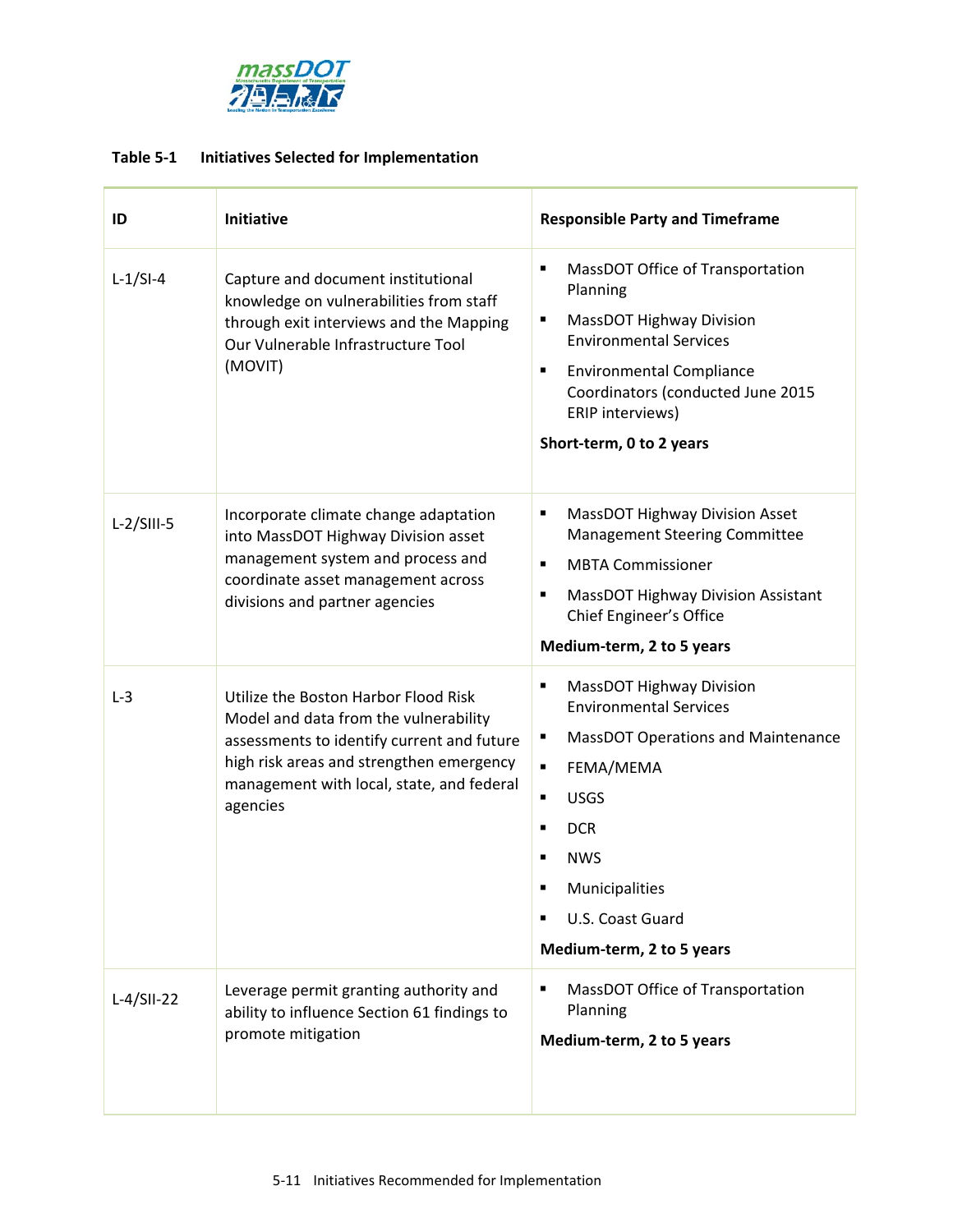

## **Table 5‐1 Initiatives Selected for Implementation**

| ID           | Initiative                                                                                                                                                                                                                       | <b>Responsible Party and Timeframe</b>                                                                                                                                                                                                                                                   |
|--------------|----------------------------------------------------------------------------------------------------------------------------------------------------------------------------------------------------------------------------------|------------------------------------------------------------------------------------------------------------------------------------------------------------------------------------------------------------------------------------------------------------------------------------------|
| $L-1/SI-4$   | Capture and document institutional<br>knowledge on vulnerabilities from staff<br>through exit interviews and the Mapping<br>Our Vulnerable Infrastructure Tool<br>(MOVIT)                                                        | MassDOT Office of Transportation<br>٠<br>Planning<br><b>MassDOT Highway Division</b><br>٠<br><b>Environmental Services</b><br><b>Environmental Compliance</b><br>٠<br>Coordinators (conducted June 2015<br>ERIP interviews)<br>Short-term, 0 to 2 years                                  |
| $L-2/SIII-5$ | Incorporate climate change adaptation<br>into MassDOT Highway Division asset<br>management system and process and<br>coordinate asset management across<br>divisions and partner agencies                                        | <b>MassDOT Highway Division Asset</b><br>٠<br><b>Management Steering Committee</b><br><b>MBTA Commissioner</b><br>$\blacksquare$<br><b>MassDOT Highway Division Assistant</b><br>٠<br>Chief Engineer's Office<br>Medium-term, 2 to 5 years                                               |
| $L-3$        | Utilize the Boston Harbor Flood Risk<br>Model and data from the vulnerability<br>assessments to identify current and future<br>high risk areas and strengthen emergency<br>management with local, state, and federal<br>agencies | <b>MassDOT Highway Division</b><br>٠<br><b>Environmental Services</b><br><b>MassDOT Operations and Maintenance</b><br>٠<br>FEMA/MEMA<br>$\blacksquare$<br><b>USGS</b><br>٠<br><b>DCR</b><br>٠<br><b>NWS</b><br>٠<br>Municipalities<br>U.S. Coast Guard<br>п<br>Medium-term, 2 to 5 years |
| $L-4/SII-22$ | Leverage permit granting authority and<br>ability to influence Section 61 findings to<br>promote mitigation                                                                                                                      | MassDOT Office of Transportation<br>٠<br>Planning<br>Medium-term, 2 to 5 years                                                                                                                                                                                                           |